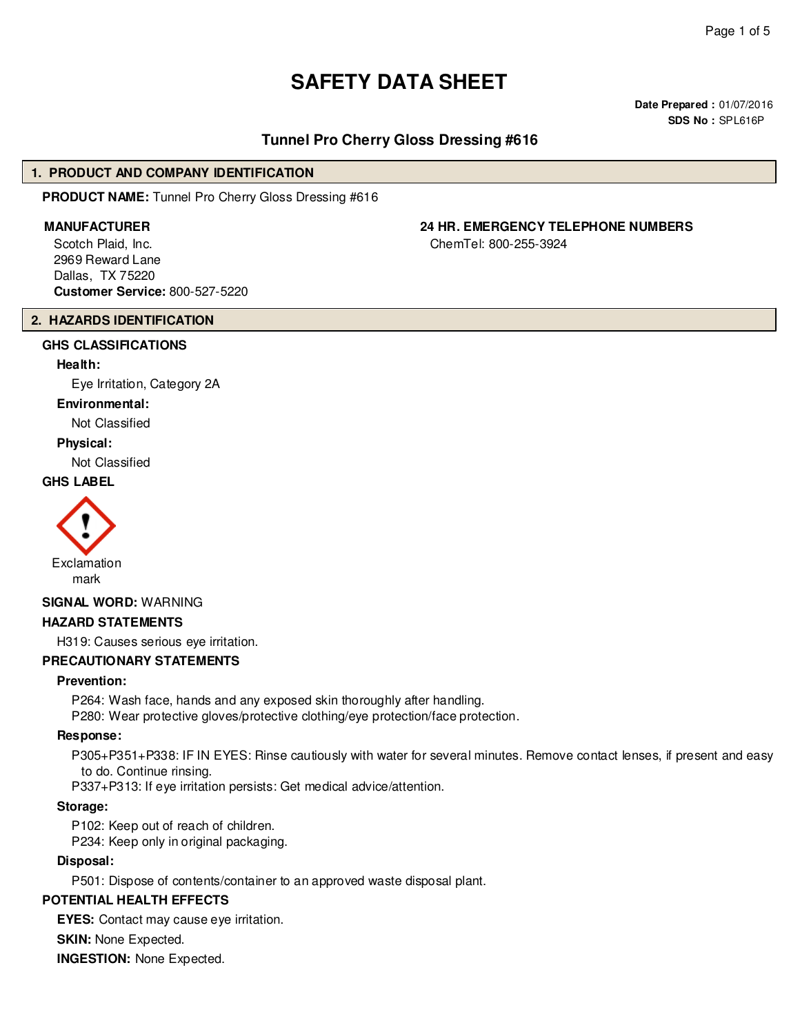# **SAFETY DATA SHEET**

**Date Prepared :** 01/07/2016 **SDS No :** SPL616P

# **Tunnel Pro Cherry Gloss Dressing #616**

#### **1. PRODUCT AND COMPANY IDENTIFICATION**

**PRODUCT NAME:** Tunnel Pro Cherry Gloss Dressing #616

Scotch Plaid, Inc. 2969 Reward Lane Dallas, TX 75220 **Customer Service:** 800-527-5220

# **2. HAZARDS IDENTIFICATION**

# **GHS CLASSIFICATIONS**

#### **Health:**

Eye Irritation, Category 2A

#### **Environmental:**

Not Classified

#### **Physical:**

Not Classified

# **GHS LABEL**



### **SIGNAL WORD:** WARNING

#### **HAZARD STATEMENTS**

H319: Causes serious eye irritation.

#### **PRECAUTIONARY STATEMENTS**

#### **Prevention:**

P264: Wash face, hands and any exposed skin thoroughly after handling. P280: Wear protective gloves/protective clothing/eye protection/face protection.

#### **Response:**

P305+P351+P338: IF IN EYES: Rinse cautiously with water for several minutes. Remove contact lenses, if present and easy to do. Continue rinsing.

P337+P313: If eye irritation persists: Get medical advice/attention.

#### **Storage:**

P102: Keep out of reach of children.

P234: Keep only in original packaging.

### **Disposal:**

P501: Dispose of contents/container to an approved waste disposal plant.

#### **POTENTIAL HEALTH EFFECTS**

**EYES:** Contact may cause eye irritation.

**SKIN: None Expected.** 

**INGESTION:** None Expected.

# **MANUFACTURER 24 HR. EMERGENCY TELEPHONE NUMBERS**

ChemTel: 800-255-3924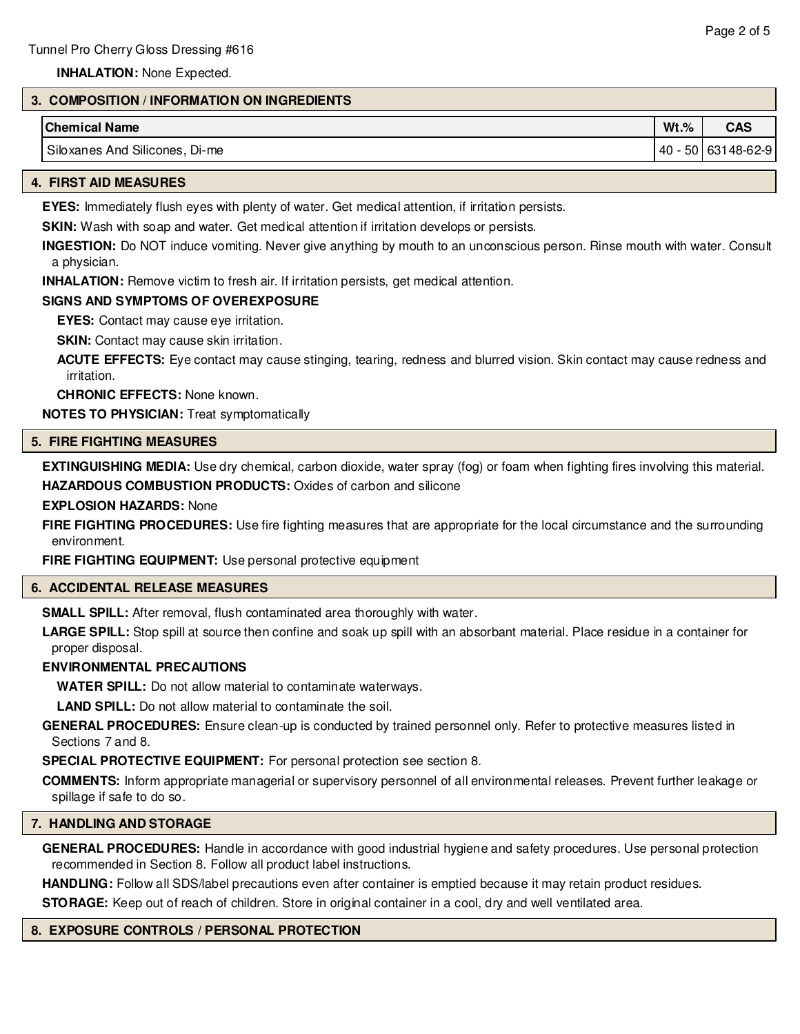**INHALATION:** None Expected.

# **3. COMPOSITION / INFORMATION ON INGREDIENTS**

| <b>Chemical Name</b>              | $Wt.\%$ | <b>CAS</b>    |
|-----------------------------------|---------|---------------|
| Siloxanes And Silicones,<br>Di-me | 40      | 50 63148-62-9 |

#### **4. FIRST AID MEASURES**

**EYES:** Immediately flush eyes with plenty of water. Get medical attention, if irritation persists.

**SKIN:** Wash with soap and water. Get medical attention if irritation develops or persists.

**INGESTION:** Do NOT induce vomiting. Never give anything by mouth to an unconscious person. Rinse mouth with water. Consult a physician.

**INHALATION:** Remove victim to fresh air. If irritation persists, get medical attention.

#### **SIGNS AND SYMPTOMS OF OVEREXPOSURE**

**EYES:** Contact may cause eye irritation.

**SKIN:** Contact may cause skin irritation.

**ACUTE EFFECTS:** Eye contact may cause stinging, tearing, redness and blurred vision. Skin contact may cause redness and irritation.

**CHRONIC EFFECTS:** None known.

**NOTES TO PHYSICIAN:** Treat symptomatically

#### **5. FIRE FIGHTING MEASURES**

**EXTINGUISHING MEDIA:** Use dry chemical, carbon dioxide, water spray (fog) or foam when fighting fires involving this material. **HAZARDOUS COMBUSTION PRODUCTS:** Oxides of carbon and silicone

#### **EXPLOSION HAZARDS:** None

**FIRE FIGHTING PROCEDURES:** Use fire fighting measures that are appropriate for the local circumstance and the surrounding environment.

**FIRE FIGHTING EQUIPMENT:** Use personal protective equipment

### **6. ACCIDENTAL RELEASE MEASURES**

**SMALL SPILL:** After removal, flush contaminated area thoroughly with water.

**LARGE SPILL:** Stop spill at source then confine and soak up spill with an absorbant material. Place residue in a container for proper disposal.

# **ENVIRONMENTAL PRECAUTIONS**

**WATER SPILL:** Do not allow material to contaminate waterways.

**LAND SPILL:** Do not allow material to contaminate the soil.

**GENERAL PROCEDURES:** Ensure clean-up is conducted by trained personnel only. Refer to protective measures listed in Sections 7 and 8.

**SPECIAL PROTECTIVE EQUIPMENT:** For personal protection see section 8.

**COMMENTS:** Inform appropriate managerial or supervisory personnel of all environmental releases. Prevent further leakage or spillage if safe to do so.

### **7. HANDLING AND STORAGE**

**GENERAL PROCEDURES:** Handle in accordance with good industrial hygiene and safety procedures. Use personal protection recommended in Section 8. Follow all product label instructions.

**HANDLING:** Follow all SDS/label precautions even after container is emptied because it may retain product residues.

**STORAGE:** Keep out of reach of children. Store in original container in a cool, dry and well ventilated area.

### **8. EXPOSURE CONTROLS / PERSONAL PROTECTION**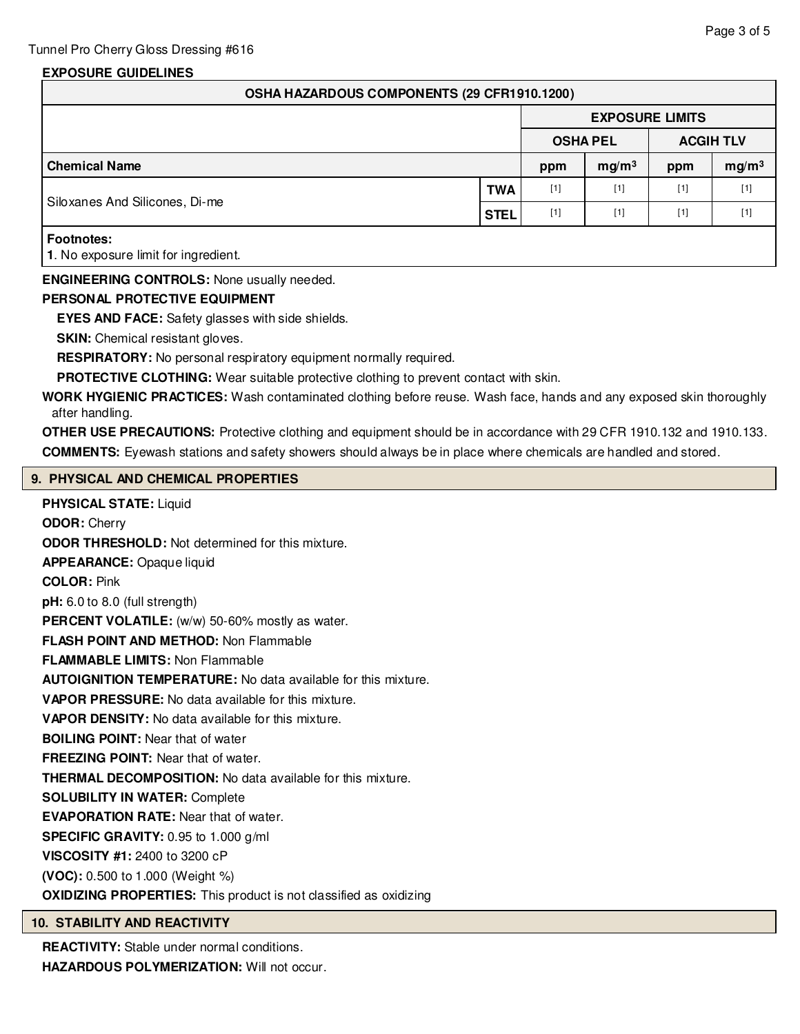# **EXPOSURE GUIDELINES**

| OSHA HAZARDOUS COMPONENTS (29 CFR1910.1200)               |             |                        |                   |                  |                   |  |
|-----------------------------------------------------------|-------------|------------------------|-------------------|------------------|-------------------|--|
|                                                           |             | <b>EXPOSURE LIMITS</b> |                   |                  |                   |  |
|                                                           |             | <b>OSHA PEL</b>        |                   | <b>ACGIH TLV</b> |                   |  |
| <b>Chemical Name</b>                                      |             | ppm                    | mg/m <sup>3</sup> | ppm              | mg/m <sup>3</sup> |  |
| Siloxanes And Silicones, Di-me                            | <b>TWA</b>  | $[1]$                  | $[1]$             | $[1]$            | $[1]$             |  |
|                                                           | <b>STEL</b> | $[1]$                  | $[1]$             | $[1]$            | $[1]$             |  |
| <b>Footnotes:</b><br>1. No exposure limit for ingredient. |             |                        |                   |                  |                   |  |
| <b>ENGINEERING CONTROLS:</b> None usually needed.         |             |                        |                   |                  |                   |  |

# **PERSONAL PROTECTIVE EQUIPMENT**

**EYES AND FACE:** Safety glasses with side shields.

**SKIN:** Chemical resistant gloves.

**RESPIRATORY:** No personal respiratory equipment normally required.

**PROTECTIVE CLOTHING:** Wear suitable protective clothing to prevent contact with skin.

**WORK HYGIENIC PRACTICES:** Wash contaminated clothing before reuse. Wash face, hands and any exposed skin thoroughly after handling.

**OTHER USE PRECAUTIONS:** Protective clothing and equipment should be in accordance with 29 CFR 1910.132 and 1910.133. **COMMENTS:** Eyewash stations and safety showers should always be in place where chemicals are handled and stored.

# **9. PHYSICAL AND CHEMICAL PROPERTIES**

**PHYSICAL STATE:** Liquid **ODOR:** Cherry **ODOR THRESHOLD:** Not determined for this mixture. **APPEARANCE:** Opaque liquid **COLOR:** Pink **pH:** 6.0 to 8.0 (full strength) PERCENT VOLATILE: (w/w) 50-60% mostly as water. **FLASH POINT AND METHOD:** Non Flammable **FLAMMABLE LIMITS:** Non Flammable **AUTOIGNITION TEMPERATURE:** No data available for this mixture. **VAPOR PRESSURE:** No data available for this mixture. **VAPOR DENSITY:** No data available for this mixture. **BOILING POINT:** Near that of water **FREEZING POINT:** Near that of water. **THERMAL DECOMPOSITION:** No data available for this mixture. **SOLUBILITY IN WATER:** Complete **EVAPORATION RATE:** Near that of water. **SPECIFIC GRAVITY:** 0.95 to 1.000 g/ml **VISCOSITY #1:** 2400 to 3200 cP **(VOC):** 0.500 to 1.000 (Weight %) **OXIDIZING PROPERTIES:** This product is not classified as oxidizing

### **10. STABILITY AND REACTIVITY**

**REACTIVITY:** Stable under normal conditions. **HAZARDOUS POLYMERIZATION:** Will not occur.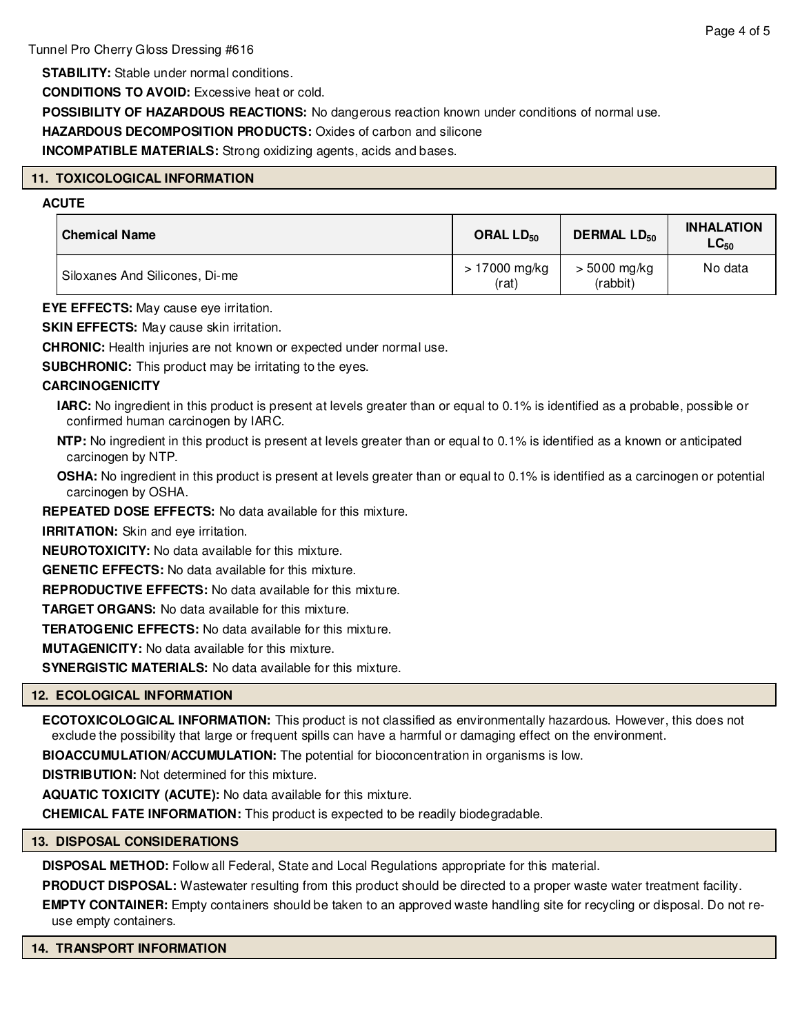**STABILITY:** Stable under normal conditions.

**CONDITIONS TO AVOID:** Excessive heat or cold.

**POSSIBILITY OF HAZARDOUS REACTIONS:** No dangerous reaction known under conditions of normal use.

**HAZARDOUS DECOMPOSITION PRODUCTS:** Oxides of carbon and silicone

**INCOMPATIBLE MATERIALS:** Strong oxidizing agents, acids and bases.

# **11. TOXICOLOGICAL INFORMATION**

# **ACUTE**

| <b>Chemical Name</b>           | ORAL $LD_{50}$          | <b>DERMAL LD<sub>50</sub></b> | <b>INHALATION</b><br>$LC_{50}$ |
|--------------------------------|-------------------------|-------------------------------|--------------------------------|
| Siloxanes And Silicones, Di-me | $>17000$ mg/kg<br>(rat) | $> 5000$ mg/kg<br>(rabbit)    | No data                        |

**EYE EFFECTS:** May cause eye irritation.

**SKIN EFFECTS:** May cause skin irritation.

**CHRONIC:** Health injuries are not known or expected under normal use.

**SUBCHRONIC:** This product may be irritating to the eyes.

# **CARCINOGENICITY**

- **IARC:** No ingredient in this product is present at levels greater than or equal to 0.1% is identified as a probable, possible or confirmed human carcinogen by IARC.
- **NTP:** No ingredient in this product is present at levels greater than or equal to 0.1% is identified as a known or anticipated carcinogen by NTP.

**OSHA:** No ingredient in this product is present at levels greater than or equal to 0.1% is identified as a carcinogen or potential carcinogen by OSHA.

**REPEATED DOSE EFFECTS:** No data available for this mixture.

**IRRITATION:** Skin and eye irritation.

**NEUROTOXICITY:** No data available for this mixture.

**GENETIC EFFECTS:** No data available for this mixture.

**REPRODUCTIVE EFFECTS:** No data available for this mixture.

**TARGET ORGANS:** No data available for this mixture.

**TERATOGENIC EFFECTS:** No data available for this mixture.

**MUTAGENICITY:** No data available for this mixture.

**SYNERGISTIC MATERIALS:** No data available for this mixture.

# **12. ECOLOGICAL INFORMATION**

**ECOTOXICOLOGICAL INFORMATION:** This product is not classified as environmentally hazardous. However, this does not exclude the possibility that large or frequent spills can have a harmful or damaging effect on the environment.

**BIOACCUMULATION/ACCUMULATION:** The potential for bioconcentration in organisms is low.

**DISTRIBUTION:** Not determined for this mixture.

**AQUATIC TOXICITY (ACUTE):** No data available for this mixture.

**CHEMICAL FATE INFORMATION:** This product is expected to be readily biodegradable.

# **13. DISPOSAL CONSIDERATIONS**

**DISPOSAL METHOD:** Follow all Federal, State and Local Regulations appropriate for this material.

**PRODUCT DISPOSAL:** Wastewater resulting from this product should be directed to a proper waste water treatment facility.

**EMPTY CONTAINER:** Empty containers should be taken to an approved waste handling site for recycling or disposal. Do not reuse empty containers.

**14. TRANSPORT INFORMATION**